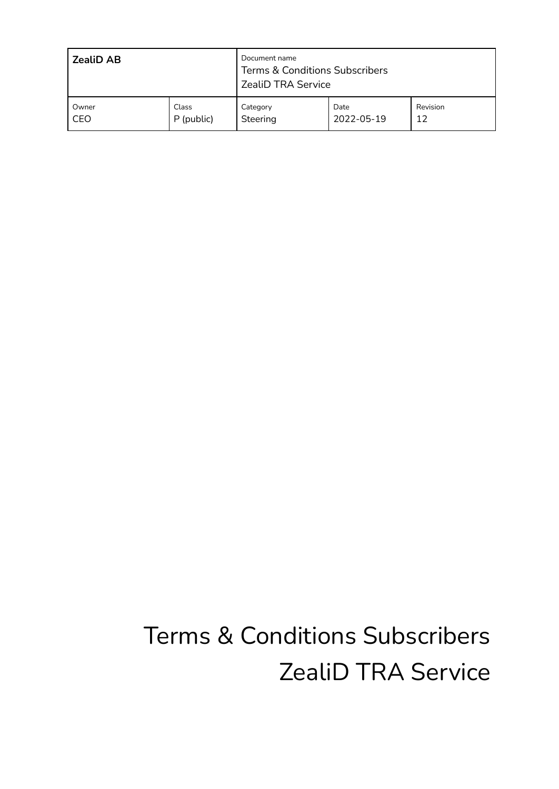| <b>ZealiD AB</b> |            | Document name<br><b>Terms &amp; Conditions Subscribers</b><br><b>ZealiD TRA Service</b> |            |          |
|------------------|------------|-----------------------------------------------------------------------------------------|------------|----------|
| Owner            | Class      | Category                                                                                | Date       | Revision |
| CEO              | P (public) | Steering                                                                                | 2022-05-19 | 12       |

# Terms & Conditions Subscribers ZealiD TRA Service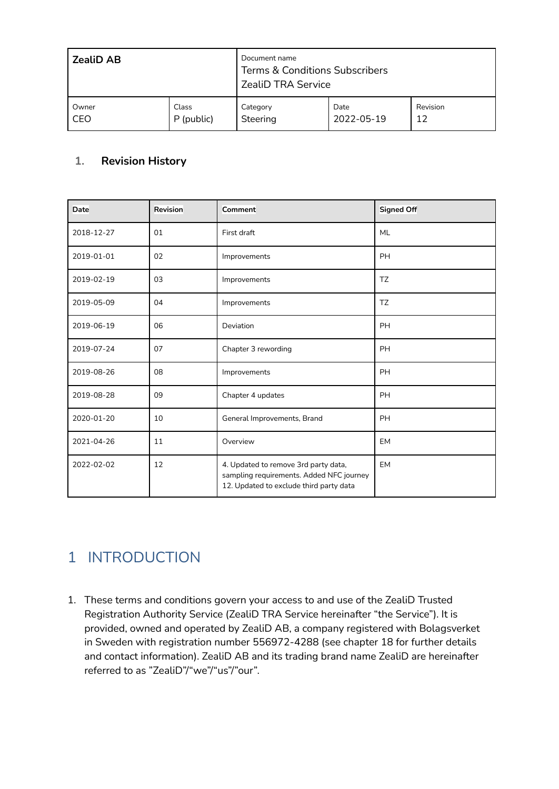| <b>ZealiD AB</b> |            | Document name<br>Terms & Conditions Subscribers<br><b>ZealiD TRA Service</b> |            |          |  |
|------------------|------------|------------------------------------------------------------------------------|------------|----------|--|
| Owner            | Class      | Category                                                                     | Date       | Revision |  |
| CEO              | P (public) | Steering                                                                     | 2022-05-19 | 12       |  |

#### **1. Revision History**

| Date       | <b>Revision</b> | Comment                                                                                                                     | <b>Signed Off</b> |
|------------|-----------------|-----------------------------------------------------------------------------------------------------------------------------|-------------------|
| 2018-12-27 | 01              | First draft                                                                                                                 | <b>ML</b>         |
| 2019-01-01 | 02              | Improvements                                                                                                                | <b>PH</b>         |
| 2019-02-19 | 03              | Improvements                                                                                                                | <b>TZ</b>         |
| 2019-05-09 | 04              | Improvements                                                                                                                | TZ                |
| 2019-06-19 | 06              | Deviation                                                                                                                   | <b>PH</b>         |
| 2019-07-24 | 07              | Chapter 3 rewording                                                                                                         | PH                |
| 2019-08-26 | 08              | Improvements                                                                                                                | <b>PH</b>         |
| 2019-08-28 | 09              | Chapter 4 updates                                                                                                           | <b>PH</b>         |
| 2020-01-20 | 10              | General Improvements, Brand                                                                                                 | <b>PH</b>         |
| 2021-04-26 | 11              | Overview                                                                                                                    | <b>EM</b>         |
| 2022-02-02 | 12              | 4. Updated to remove 3rd party data,<br>sampling requirements. Added NFC journey<br>12. Updated to exclude third party data | <b>EM</b>         |

# 1 INTRODUCTION

1. These terms and conditions govern your access to and use of the ZealiD Trusted Registration Authority Service (ZealiD TRA Service hereinafter "the Service"). It is provided, owned and operated by ZealiD AB, a company registered with Bolagsverket in Sweden with registration number 556972-4288 (see chapter 18 for further details and contact information). ZealiD AB and its trading brand name ZealiD are hereinafter referred to as "ZealiD"/"we"/"us"/"our".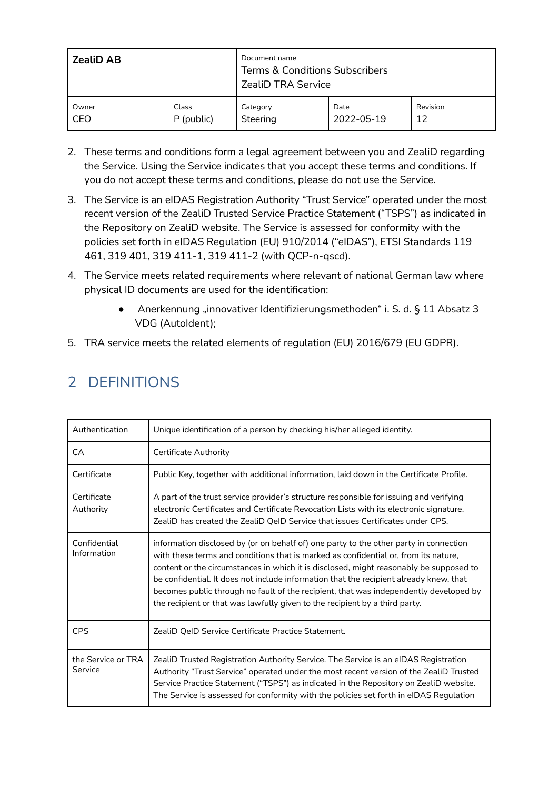| <b>ZealiD AB</b> |            | Document name<br><b>Terms &amp; Conditions Subscribers</b><br><b>ZealiD TRA Service</b> |            |          |  |
|------------------|------------|-----------------------------------------------------------------------------------------|------------|----------|--|
| Owner            | Class      | Category                                                                                | Date       | Revision |  |
| CEO              | P (public) | Steering                                                                                | 2022-05-19 | 12       |  |

- 2. These terms and conditions form a legal agreement between you and ZealiD regarding the Service. Using the Service indicates that you accept these terms and conditions. If you do not accept these terms and conditions, please do not use the Service.
- 3. The Service is an eIDAS Registration Authority "Trust Service" operated under the most recent version of the ZealiD Trusted Service Practice Statement ("TSPS") as indicated in the Repository on ZealiD website. The Service is assessed for conformity with the policies set forth in eIDAS Regulation (EU) 910/2014 ("eIDAS"), ETSI Standards 119 461, 319 401, 319 411-1, 319 411-2 (with QCP-n-qscd).
- 4. The Service meets related requirements where relevant of national German law where physical ID documents are used for the identification:
	- Anerkennung "innovativer Identifizierungsmethoden" i. S. d. § 11 Absatz 3 VDG (AutoIdent);
- 5. TRA service meets the related elements of regulation (EU) 2016/679 (EU GDPR).

| Authentication                | Unique identification of a person by checking his/her alleged identity.                                                                                                                                                                                                                                                                                                                                                                                                                                                                  |
|-------------------------------|------------------------------------------------------------------------------------------------------------------------------------------------------------------------------------------------------------------------------------------------------------------------------------------------------------------------------------------------------------------------------------------------------------------------------------------------------------------------------------------------------------------------------------------|
| CA                            | Certificate Authority                                                                                                                                                                                                                                                                                                                                                                                                                                                                                                                    |
| Certificate                   | Public Key, together with additional information, laid down in the Certificate Profile.                                                                                                                                                                                                                                                                                                                                                                                                                                                  |
| Certificate<br>Authority      | A part of the trust service provider's structure responsible for issuing and verifying<br>electronic Certificates and Certificate Revocation Lists with its electronic signature.<br>ZealiD has created the ZealiD QeID Service that issues Certificates under CPS.                                                                                                                                                                                                                                                                      |
| Confidential<br>Information   | information disclosed by (or on behalf of) one party to the other party in connection<br>with these terms and conditions that is marked as confidential or, from its nature,<br>content or the circumstances in which it is disclosed, might reasonably be supposed to<br>be confidential. It does not include information that the recipient already knew, that<br>becomes public through no fault of the recipient, that was independently developed by<br>the recipient or that was lawfully given to the recipient by a third party. |
| <b>CPS</b>                    | ZealiD QeID Service Certificate Practice Statement.                                                                                                                                                                                                                                                                                                                                                                                                                                                                                      |
| the Service or TRA<br>Service | ZealiD Trusted Registration Authority Service. The Service is an eIDAS Registration<br>Authority "Trust Service" operated under the most recent version of the ZealiD Trusted<br>Service Practice Statement ("TSPS") as indicated in the Repository on ZealiD website.<br>The Service is assessed for conformity with the policies set forth in eIDAS Regulation                                                                                                                                                                         |

# 2 DEFINITIONS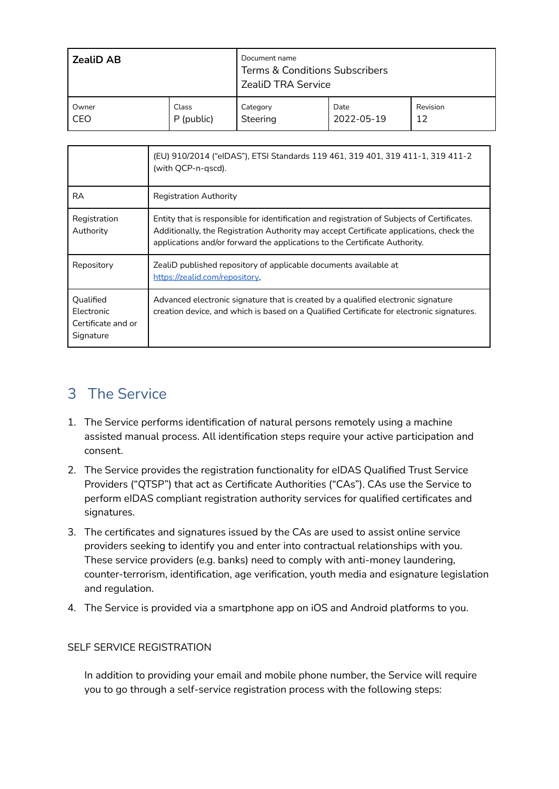| <b>ZealiD AB</b> |            | Document name<br>Terms & Conditions Subscribers<br><b>ZealiD TRA Service</b> |            |          |
|------------------|------------|------------------------------------------------------------------------------|------------|----------|
| Owner            | Class      | Category                                                                     | Date       | Revision |
| CEO              | P (public) | Steering                                                                     | 2022-05-19 | 12       |

|                                                            | (EU) 910/2014 ("elDAS"), ETSI Standards 119 461, 319 401, 319 411-1, 319 411-2<br>(with QCP-n-gscd).                                                                                                                                                                 |
|------------------------------------------------------------|----------------------------------------------------------------------------------------------------------------------------------------------------------------------------------------------------------------------------------------------------------------------|
| RA                                                         | <b>Registration Authority</b>                                                                                                                                                                                                                                        |
| Registration<br>Authority                                  | Entity that is responsible for identification and registration of Subjects of Certificates.<br>Additionally, the Registration Authority may accept Certificate applications, check the<br>applications and/or forward the applications to the Certificate Authority. |
| Repository                                                 | ZealiD published repository of applicable documents available at<br>https://zealid.com/repository,                                                                                                                                                                   |
| Qualified<br>Electronic<br>Certificate and or<br>Signature | Advanced electronic signature that is created by a qualified electronic signature<br>creation device, and which is based on a Qualified Certificate for electronic signatures.                                                                                       |

### 3 The Service

- 1. The Service performs identification of natural persons remotely using a machine assisted manual process. All identification steps require your active participation and consent.
- 2. The Service provides the registration functionality for eIDAS Qualified Trust Service Providers ("QTSP") that act as Certificate Authorities ("CAs"). CAs use the Service to perform eIDAS compliant registration authority services for qualified certificates and signatures.
- 3. The certificates and signatures issued by the CAs are used to assist online service providers seeking to identify you and enter into contractual relationships with you. These service providers (e.g. banks) need to comply with anti-money laundering, counter-terrorism, identification, age verification, youth media and esignature legislation and regulation.
- 4. The Service is provided via a smartphone app on iOS and Android platforms to you.

#### SELF SERVICE REGISTRATION

In addition to providing your email and mobile phone number, the Service will require you to go through a self-service registration process with the following steps: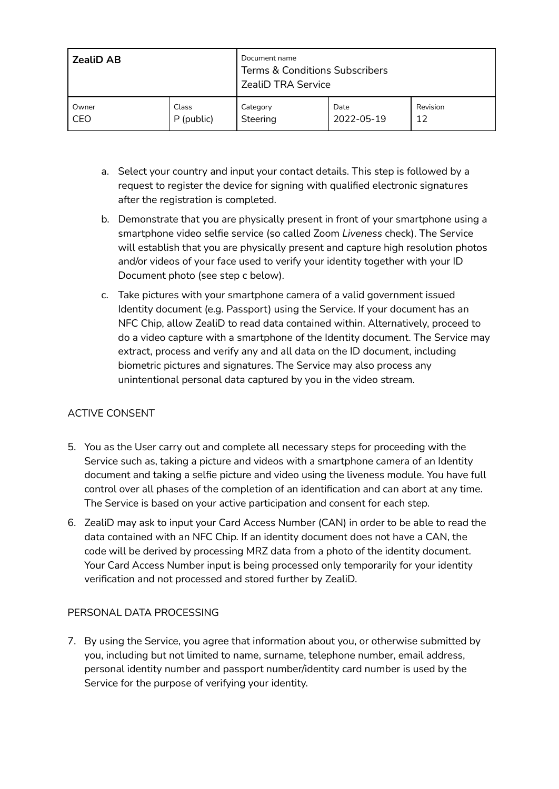| <b>ZealiD AB</b> |            | Document name<br><b>Terms &amp; Conditions Subscribers</b><br><b>ZealiD TRA Service</b> |            |          |
|------------------|------------|-----------------------------------------------------------------------------------------|------------|----------|
| Owner            | Class      | Category                                                                                | Date       | Revision |
| CEO              | P (public) | Steering                                                                                | 2022-05-19 | 12       |

- a. Select your country and input your contact details. This step is followed by a request to register the device for signing with qualified electronic signatures after the registration is completed.
- b. Demonstrate that you are physically present in front of your smartphone using a smartphone video selfie service (so called Zoom *Liveness* check). The Service will establish that you are physically present and capture high resolution photos and/or videos of your face used to verify your identity together with your ID Document photo (see step c below).
- c. Take pictures with your smartphone camera of a valid government issued Identity document (e.g. Passport) using the Service. If your document has an NFC Chip, allow ZealiD to read data contained within. Alternatively, proceed to do a video capture with a smartphone of the Identity document. The Service may extract, process and verify any and all data on the ID document, including biometric pictures and signatures. The Service may also process any unintentional personal data captured by you in the video stream.

#### ACTIVE CONSENT

- 5. You as the User carry out and complete all necessary steps for proceeding with the Service such as, taking a picture and videos with a smartphone camera of an Identity document and taking a selfie picture and video using the liveness module. You have full control over all phases of the completion of an identification and can abort at any time. The Service is based on your active participation and consent for each step.
- 6. ZealiD may ask to input your Card Access Number (CAN) in order to be able to read the data contained with an NFC Chip. If an identity document does not have a CAN, the code will be derived by processing MRZ data from a photo of the identity document. Your Card Access Number input is being processed only temporarily for your identity verification and not processed and stored further by ZealiD.

#### PERSONAL DATA PROCESSING

7. By using the Service, you agree that information about you, or otherwise submitted by you, including but not limited to name, surname, telephone number, email address, personal identity number and passport number/identity card number is used by the Service for the purpose of verifying your identity.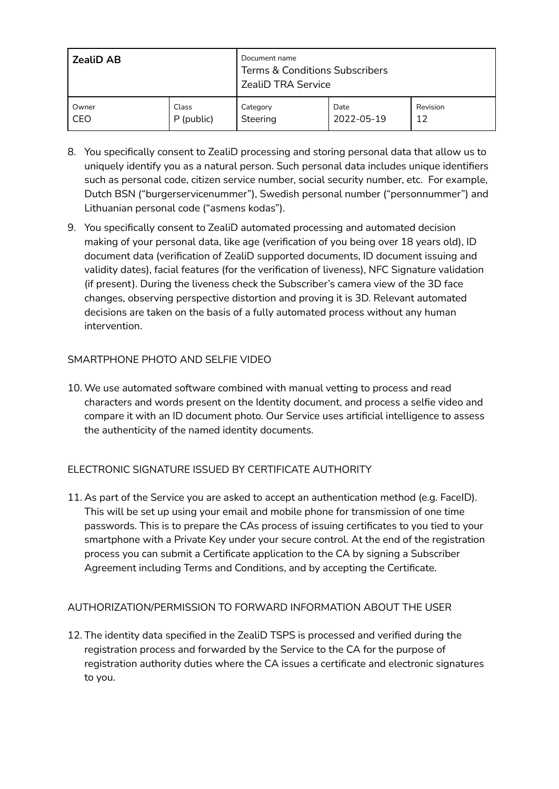| <b>ZealiD AB</b> |            | Document name<br><b>Terms &amp; Conditions Subscribers</b><br><b>ZealiD TRA Service</b> |            |          |
|------------------|------------|-----------------------------------------------------------------------------------------|------------|----------|
| Owner            | Class      | Category                                                                                | Date       | Revision |
| CEO              | P (public) | Steering                                                                                | 2022-05-19 | 12       |

- 8. You specifically consent to ZealiD processing and storing personal data that allow us to uniquely identify you as a natural person. Such personal data includes unique identifiers such as personal code, citizen service number, social security number, etc. For example, Dutch BSN ("burgerservicenummer"), Swedish personal number ("personnummer") and Lithuanian personal code ("asmens kodas").
- 9. You specifically consent to ZealiD automated processing and automated decision making of your personal data, like age (verification of you being over 18 years old), ID document data (verification of ZealiD supported documents, ID document issuing and validity dates), facial features (for the verification of liveness), NFC Signature validation (if present). During the liveness check the Subscriber's camera view of the 3D face changes, observing perspective distortion and proving it is 3D. Relevant automated decisions are taken on the basis of a fully automated process without any human intervention.

#### SMARTPHONE PHOTO AND SELFIE VIDEO

10. We use automated software combined with manual vetting to process and read characters and words present on the Identity document, and process a selfie video and compare it with an ID document photo. Our Service uses artificial intelligence to assess the authenticity of the named identity documents.

#### ELECTRONIC SIGNATURE ISSUED BY CERTIFICATE AUTHORITY

11. As part of the Service you are asked to accept an authentication method (e.g. FaceID). This will be set up using your email and mobile phone for transmission of one time passwords. This is to prepare the CAs process of issuing certificates to you tied to your smartphone with a Private Key under your secure control. At the end of the registration process you can submit a Certificate application to the CA by signing a Subscriber Agreement including Terms and Conditions, and by accepting the Certificate.

#### AUTHORIZATION/PERMISSION TO FORWARD INFORMATION ABOUT THE USER

12. The identity data specified in the ZealiD TSPS is processed and verified during the registration process and forwarded by the Service to the CA for the purpose of registration authority duties where the CA issues a certificate and electronic signatures to you.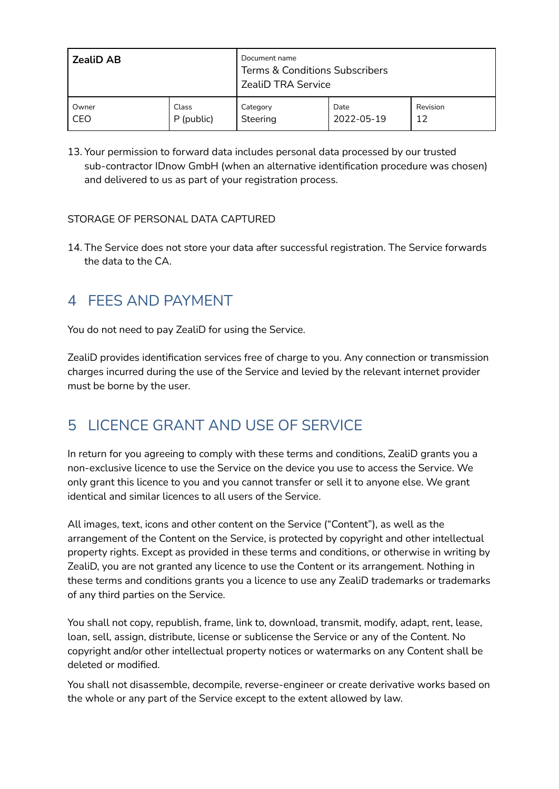| <b>ZealiD AB</b> |            | Document name<br><b>Terms &amp; Conditions Subscribers</b><br><b>ZealiD TRA Service</b> |            |          |  |
|------------------|------------|-----------------------------------------------------------------------------------------|------------|----------|--|
| Owner            | Class      | Category                                                                                | Date       | Revision |  |
| CEO              | P (public) | Steering                                                                                | 2022-05-19 | 12       |  |

13. Your permission to forward data includes personal data processed by our trusted sub-contractor IDnow GmbH (when an alternative identification procedure was chosen) and delivered to us as part of your registration process.

#### STORAGE OF PERSONAL DATA CAPTURED

14. The Service does not store your data after successful registration. The Service forwards the data to the CA.

### 4 FEES AND PAYMENT

You do not need to pay ZealiD for using the Service.

ZealiD provides identification services free of charge to you. Any connection or transmission charges incurred during the use of the Service and levied by the relevant internet provider must be borne by the user.

### 5 LICENCE GRANT AND USE OF SERVICE

In return for you agreeing to comply with these terms and conditions, ZealiD grants you a non-exclusive licence to use the Service on the device you use to access the Service. We only grant this licence to you and you cannot transfer or sell it to anyone else. We grant identical and similar licences to all users of the Service.

All images, text, icons and other content on the Service ("Content"), as well as the arrangement of the Content on the Service, is protected by copyright and other intellectual property rights. Except as provided in these terms and conditions, or otherwise in writing by ZealiD, you are not granted any licence to use the Content or its arrangement. Nothing in these terms and conditions grants you a licence to use any ZealiD trademarks or trademarks of any third parties on the Service.

You shall not copy, republish, frame, link to, download, transmit, modify, adapt, rent, lease, loan, sell, assign, distribute, license or sublicense the Service or any of the Content. No copyright and/or other intellectual property notices or watermarks on any Content shall be deleted or modified.

You shall not disassemble, decompile, reverse-engineer or create derivative works based on the whole or any part of the Service except to the extent allowed by law.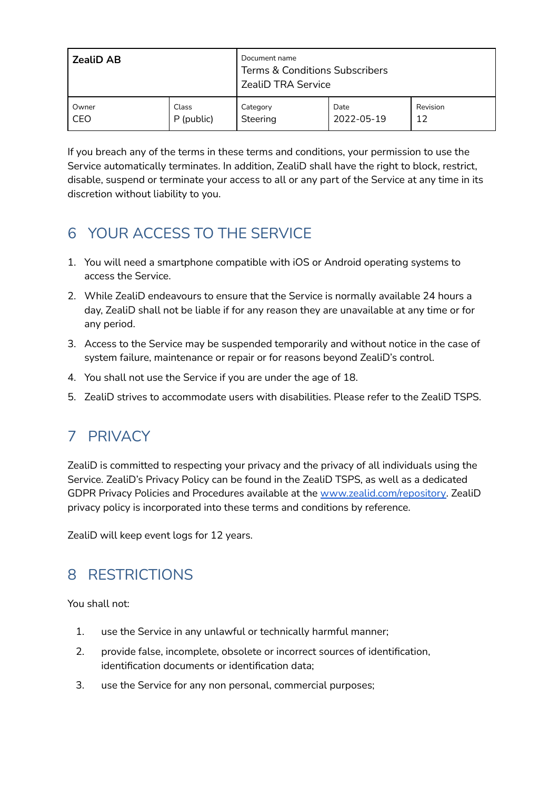| <b>ZealiD AB</b> |            | Document name<br><b>Terms &amp; Conditions Subscribers</b><br><b>ZealiD TRA Service</b> |            |          |  |
|------------------|------------|-----------------------------------------------------------------------------------------|------------|----------|--|
| Owner            | Class      | Category                                                                                | Date       | Revision |  |
| CEO              | P (public) | Steering                                                                                | 2022-05-19 | 12       |  |

If you breach any of the terms in these terms and conditions, your permission to use the Service automatically terminates. In addition, ZealiD shall have the right to block, restrict, disable, suspend or terminate your access to all or any part of the Service at any time in its discretion without liability to you.

# 6 YOUR ACCESS TO THE SERVICE

- 1. You will need a smartphone compatible with iOS or Android operating systems to access the Service.
- 2. While ZealiD endeavours to ensure that the Service is normally available 24 hours a day, ZealiD shall not be liable if for any reason they are unavailable at any time or for any period.
- 3. Access to the Service may be suspended temporarily and without notice in the case of system failure, maintenance or repair or for reasons beyond ZealiD's control.
- 4. You shall not use the Service if you are under the age of 18.
- 5. ZealiD strives to accommodate users with disabilities. Please refer to the ZealiD TSPS.

### 7 PRIVACY

ZealiD is committed to respecting your privacy and the privacy of all individuals using the Service. ZealiD's Privacy Policy can be found in the ZealiD TSPS, as well as a dedicated GDPR Privacy Policies and Procedures available at the [www.zealid.com/repository.](http://www.zealid.com/repository) ZealiD privacy policy is incorporated into these terms and conditions by reference.

ZealiD will keep event logs for 12 years.

### 8 RESTRICTIONS

You shall not:

- 1. use the Service in any unlawful or technically harmful manner;
- 2. provide false, incomplete, obsolete or incorrect sources of identification, identification documents or identification data;
- 3. use the Service for any non personal, commercial purposes;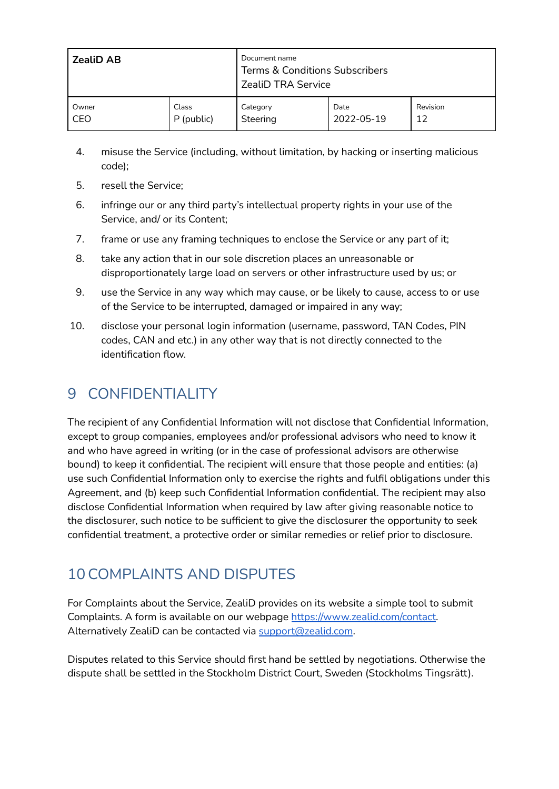| <b>ZealiD AB</b> |            | Document name<br><b>Terms &amp; Conditions Subscribers</b><br><b>ZealiD TRA Service</b> |            |          |
|------------------|------------|-----------------------------------------------------------------------------------------|------------|----------|
| Owner            | Class      | Category                                                                                | Date       | Revision |
| CEO              | P (public) | Steering                                                                                | 2022-05-19 | 12       |

- 4. misuse the Service (including, without limitation, by hacking or inserting malicious code);
- 5. resell the Service;
- 6. infringe our or any third party's intellectual property rights in your use of the Service, and/ or its Content;
- 7. frame or use any framing techniques to enclose the Service or any part of it;
- 8. take any action that in our sole discretion places an unreasonable or disproportionately large load on servers or other infrastructure used by us; or
- 9. use the Service in any way which may cause, or be likely to cause, access to or use of the Service to be interrupted, damaged or impaired in any way;
- 10. disclose your personal login information (username, password, TAN Codes, PIN codes, CAN and etc.) in any other way that is not directly connected to the identification flow.

### 9 CONFIDENTIALITY

The recipient of any Confidential Information will not disclose that Confidential Information, except to group companies, employees and/or professional advisors who need to know it and who have agreed in writing (or in the case of professional advisors are otherwise bound) to keep it confidential. The recipient will ensure that those people and entities: (a) use such Confidential Information only to exercise the rights and fulfil obligations under this Agreement, and (b) keep such Confidential Information confidential. The recipient may also disclose Confidential Information when required by law after giving reasonable notice to the disclosurer, such notice to be sufficient to give the disclosurer the opportunity to seek confidential treatment, a protective order or similar remedies or relief prior to disclosure.

### 10COMPLAINTS AND DISPUTES

For Complaints about the Service, ZealiD provides on its website a simple tool to submit Complaints. A form is available on our webpage [https://www.zealid.com/contact.](https://www.zealid.com/contact) Alternatively ZealiD can be contacted via [support@zealid.com](mailto:support@zealid.com).

Disputes related to this Service should first hand be settled by negotiations. Otherwise the dispute shall be settled in the Stockholm District Court, Sweden (Stockholms Tingsrätt).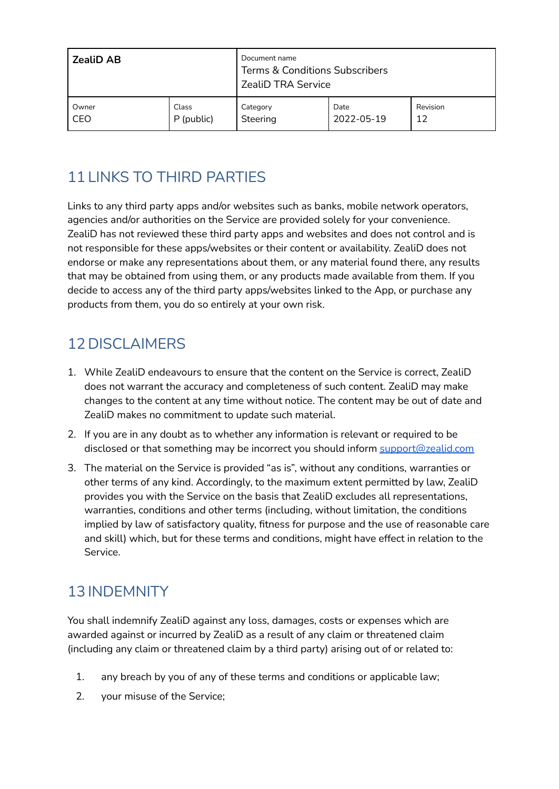| <b>ZealiD AB</b> |            | Document name<br><b>Terms &amp; Conditions Subscribers</b><br><b>ZealiD TRA Service</b> |            |          |  |
|------------------|------------|-----------------------------------------------------------------------------------------|------------|----------|--|
| Owner            | Class      | Category                                                                                | Date       | Revision |  |
| CEO              | P (public) | Steering                                                                                | 2022-05-19 | 12       |  |

# 11 LINKS TO THIRD PARTIES

Links to any third party apps and/or websites such as banks, mobile network operators, agencies and/or authorities on the Service are provided solely for your convenience. ZealiD has not reviewed these third party apps and websites and does not control and is not responsible for these apps/websites or their content or availability. ZealiD does not endorse or make any representations about them, or any material found there, any results that may be obtained from using them, or any products made available from them. If you decide to access any of the third party apps/websites linked to the App, or purchase any products from them, you do so entirely at your own risk.

# 12 DISCLAIMERS

- 1. While ZealiD endeavours to ensure that the content on the Service is correct, ZealiD does not warrant the accuracy and completeness of such content. ZealiD may make changes to the content at any time without notice. The content may be out of date and ZealiD makes no commitment to update such material.
- 2. If you are in any doubt as to whether any information is relevant or required to be disclosed or that something may be incorrect you should inform [support@zealid.com](mailto:support@zealid.com)
- 3. The material on the Service is provided "as is", without any conditions, warranties or other terms of any kind. Accordingly, to the maximum extent permitted by law, ZealiD provides you with the Service on the basis that ZealiD excludes all representations, warranties, conditions and other terms (including, without limitation, the conditions implied by law of satisfactory quality, fitness for purpose and the use of reasonable care and skill) which, but for these terms and conditions, might have effect in relation to the Service.

# 13 INDEMNITY

You shall indemnify ZealiD against any loss, damages, costs or expenses which are awarded against or incurred by ZealiD as a result of any claim or threatened claim (including any claim or threatened claim by a third party) arising out of or related to:

- 1. any breach by you of any of these terms and conditions or applicable law;
- 2. your misuse of the Service;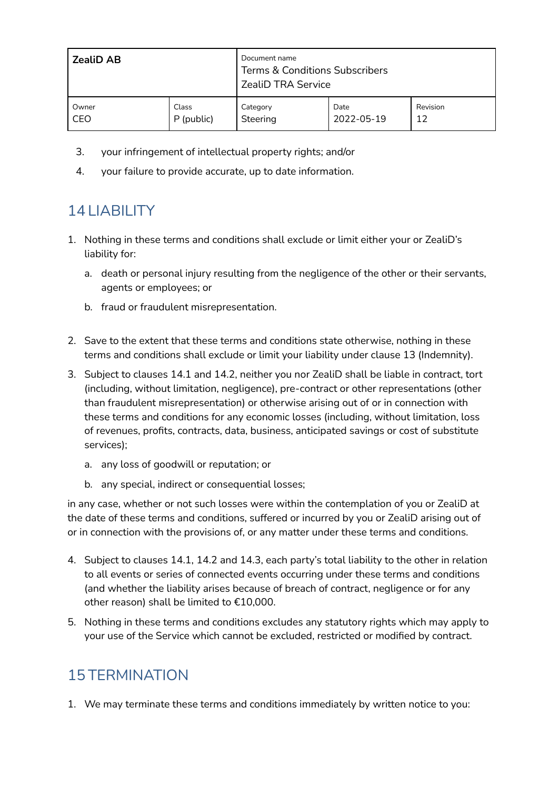| <b>ZealiD AB</b> |            | Document name<br>Terms & Conditions Subscribers<br><b>ZealiD TRA Service</b> |            |          |  |
|------------------|------------|------------------------------------------------------------------------------|------------|----------|--|
| Owner            | Class      | Category                                                                     | Date       | Revision |  |
| CEO              | P (public) | Steering                                                                     | 2022-05-19 | 12       |  |

- 3. your infringement of intellectual property rights; and/or
- 4. your failure to provide accurate, up to date information.

# 14 LIABILITY

- 1. Nothing in these terms and conditions shall exclude or limit either your or ZealiD's liability for:
	- a. death or personal injury resulting from the negligence of the other or their servants, agents or employees; or
	- b. fraud or fraudulent misrepresentation.
- 2. Save to the extent that these terms and conditions state otherwise, nothing in these terms and conditions shall exclude or limit your liability under clause 13 (Indemnity).
- 3. Subject to clauses 14.1 and 14.2, neither you nor ZealiD shall be liable in contract, tort (including, without limitation, negligence), pre-contract or other representations (other than fraudulent misrepresentation) or otherwise arising out of or in connection with these terms and conditions for any economic losses (including, without limitation, loss of revenues, profits, contracts, data, business, anticipated savings or cost of substitute services);
	- a. any loss of goodwill or reputation; or
	- b. any special, indirect or consequential losses;

in any case, whether or not such losses were within the contemplation of you or ZealiD at the date of these terms and conditions, suffered or incurred by you or ZealiD arising out of or in connection with the provisions of, or any matter under these terms and conditions.

- 4. Subject to clauses 14.1, 14.2 and 14.3, each party's total liability to the other in relation to all events or series of connected events occurring under these terms and conditions (and whether the liability arises because of breach of contract, negligence or for any other reason) shall be limited to €10,000.
- 5. Nothing in these terms and conditions excludes any statutory rights which may apply to your use of the Service which cannot be excluded, restricted or modified by contract.

### 15 TERMINATION

1. We may terminate these terms and conditions immediately by written notice to you: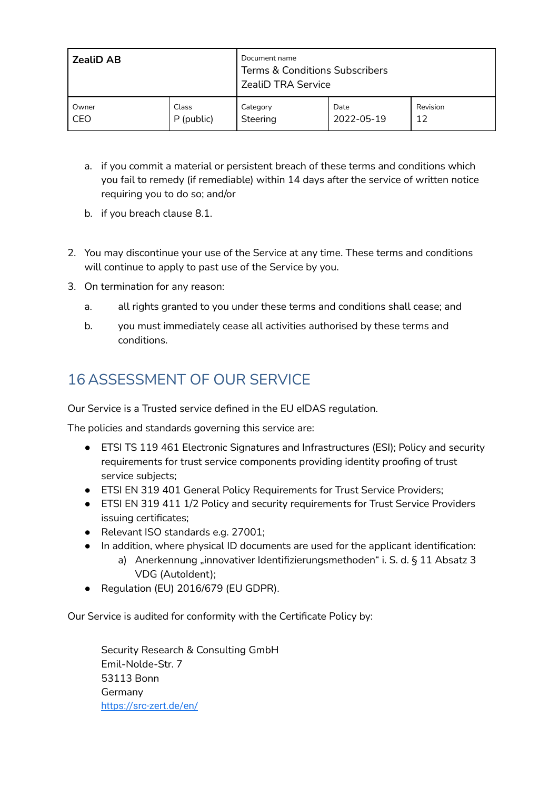| <b>ZealiD AB</b> |            | Document name<br><b>Terms &amp; Conditions Subscribers</b><br><b>ZealiD TRA Service</b> |            |          |  |
|------------------|------------|-----------------------------------------------------------------------------------------|------------|----------|--|
| Owner            | Class      | Category                                                                                | Date       | Revision |  |
| CEO              | P (public) | Steering                                                                                | 2022-05-19 | 12       |  |

- a. if you commit a material or persistent breach of these terms and conditions which you fail to remedy (if remediable) within 14 days after the service of written notice requiring you to do so; and/or
- b. if you breach clause 8.1.
- 2. You may discontinue your use of the Service at any time. These terms and conditions will continue to apply to past use of the Service by you.
- 3. On termination for any reason:
	- a. all rights granted to you under these terms and conditions shall cease; and
	- b. you must immediately cease all activities authorised by these terms and conditions.

# 16 ASSESSMENT OF OUR SERVICE

Our Service is a Trusted service defined in the EU eIDAS regulation.

The policies and standards governing this service are:

- ETSI TS 119 461 Electronic Signatures and Infrastructures (ESI); Policy and security requirements for trust service components providing identity proofing of trust service subjects;
- ETSI EN 319 401 General Policy Requirements for Trust Service Providers;
- ETSI EN 319 411 1/2 Policy and security requirements for Trust Service Providers issuing certificates;
- Relevant ISO standards e.g. 27001;
- In addition, where physical ID documents are used for the applicant identification:
	- a) Anerkennung "innovativer Identifizierungsmethoden" i. S. d. § 11 Absatz 3 VDG (AutoIdent);
- Regulation (EU) 2016/679 (EU GDPR).

Our Service is audited for conformity with the Certificate Policy by:

Security Research & Consulting GmbH Emil-Nolde-Str. 7 53113 Bonn Germany <https://src-zert.de/en/>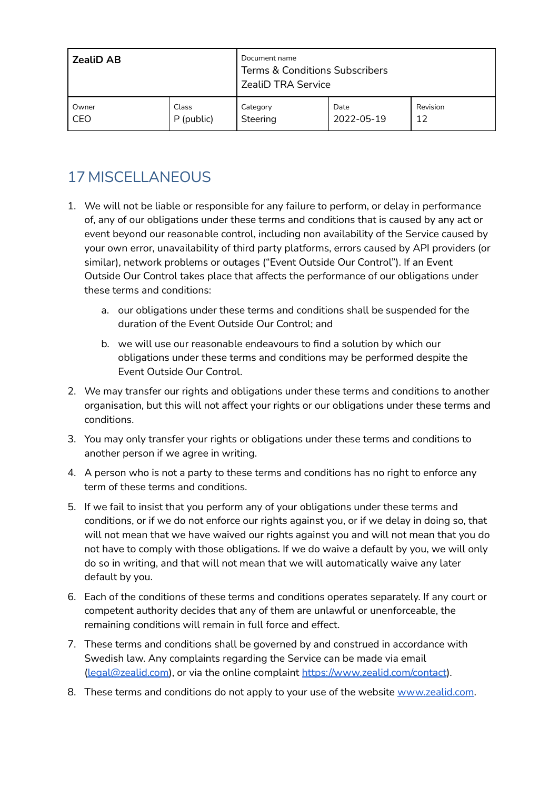| <b>ZealiD AB</b> |            | Document name<br><b>Terms &amp; Conditions Subscribers</b><br><b>ZealiD TRA Service</b> |            |          |  |
|------------------|------------|-----------------------------------------------------------------------------------------|------------|----------|--|
| Owner            | Class      | Category                                                                                | Date       | Revision |  |
| CEO              | P (public) | Steering                                                                                | 2022-05-19 | 12       |  |

# 17 MISCELLANEOUS

- 1. We will not be liable or responsible for any failure to perform, or delay in performance of, any of our obligations under these terms and conditions that is caused by any act or event beyond our reasonable control, including non availability of the Service caused by your own error, unavailability of third party platforms, errors caused by API providers (or similar), network problems or outages ("Event Outside Our Control"). If an Event Outside Our Control takes place that affects the performance of our obligations under these terms and conditions:
	- a. our obligations under these terms and conditions shall be suspended for the duration of the Event Outside Our Control; and
	- b. we will use our reasonable endeavours to find a solution by which our obligations under these terms and conditions may be performed despite the Event Outside Our Control.
- 2. We may transfer our rights and obligations under these terms and conditions to another organisation, but this will not affect your rights or our obligations under these terms and conditions.
- 3. You may only transfer your rights or obligations under these terms and conditions to another person if we agree in writing.
- 4. A person who is not a party to these terms and conditions has no right to enforce any term of these terms and conditions.
- 5. If we fail to insist that you perform any of your obligations under these terms and conditions, or if we do not enforce our rights against you, or if we delay in doing so, that will not mean that we have waived our rights against you and will not mean that you do not have to comply with those obligations. If we do waive a default by you, we will only do so in writing, and that will not mean that we will automatically waive any later default by you.
- 6. Each of the conditions of these terms and conditions operates separately. If any court or competent authority decides that any of them are unlawful or unenforceable, the remaining conditions will remain in full force and effect.
- 7. These terms and conditions shall be governed by and construed in accordance with Swedish law. Any complaints regarding the Service can be made via email [\(legal@zealid.com\)](mailto:legal@zealid.com), or via the online complaint <https://www.zealid.com/contact>).
- 8. These terms and conditions do not apply to your use of the website [www.zealid.com.](https://www.zealid.com)